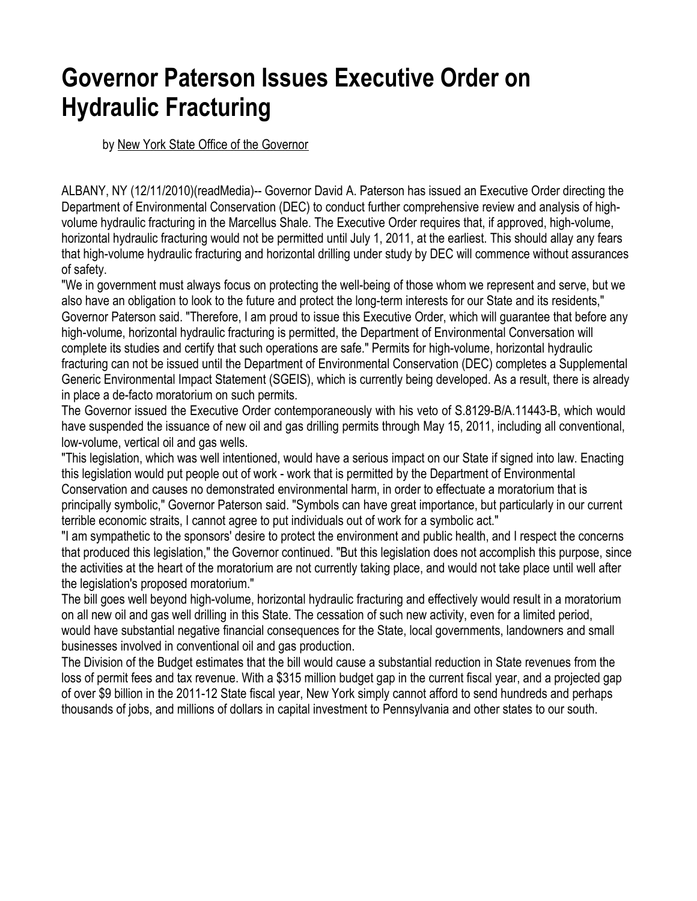# **Governor Paterson Issues Executive Order on Hydraulic Fracturing**

by New York State Office of the Governor

ALBANY, NY (12/11/2010)(readMedia)-- Governor David A. Paterson has issued an Executive Order directing the Department of Environmental Conservation (DEC) to conduct further comprehensive review and analysis of highvolume hydraulic fracturing in the Marcellus Shale. The Executive Order requires that, if approved, high-volume, horizontal hydraulic fracturing would not be permitted until July 1, 2011, at the earliest. This should allay any fears that high-volume hydraulic fracturing and horizontal drilling under study by DEC will commence without assurances of safety.

"We in government must always focus on protecting the well-being of those whom we represent and serve, but we also have an obligation to look to the future and protect the long-term interests for our State and its residents," Governor Paterson said. "Therefore, I am proud to issue this Executive Order, which will guarantee that before any high-volume, horizontal hydraulic fracturing is permitted, the Department of Environmental Conversation will complete its studies and certify that such operations are safe." Permits for high-volume, horizontal hydraulic fracturing can not be issued until the Department of Environmental Conservation (DEC) completes a Supplemental Generic Environmental Impact Statement (SGEIS), which is currently being developed. As a result, there is already in place a de-facto moratorium on such permits.

The Governor issued the Executive Order contemporaneously with his veto of S.8129-B/A.11443-B, which would have suspended the issuance of new oil and gas drilling permits through May 15, 2011, including all conventional, low-volume, vertical oil and gas wells.

"This legislation, which was well intentioned, would have a serious impact on our State if signed into law. Enacting this legislation would put people out of work - work that is permitted by the Department of Environmental Conservation and causes no demonstrated environmental harm, in order to effectuate a moratorium that is principally symbolic," Governor Paterson said. "Symbols can have great importance, but particularly in our current terrible economic straits, I cannot agree to put individuals out of work for a symbolic act."

"I am sympathetic to the sponsors' desire to protect the environment and public health, and I respect the concerns that produced this legislation," the Governor continued. "But this legislation does not accomplish this purpose, since the activities at the heart of the moratorium are not currently taking place, and would not take place until well after the legislation's proposed moratorium."

The bill goes well beyond high-volume, horizontal hydraulic fracturing and effectively would result in a moratorium on all new oil and gas well drilling in this State. The cessation of such new activity, even for a limited period, would have substantial negative financial consequences for the State, local governments, landowners and small businesses involved in conventional oil and gas production.

The Division of the Budget estimates that the bill would cause a substantial reduction in State revenues from the loss of permit fees and tax revenue. With a \$315 million budget gap in the current fiscal year, and a projected gap of over \$9 billion in the 2011-12 State fiscal year, New York simply cannot afford to send hundreds and perhaps thousands of jobs, and millions of dollars in capital investment to Pennsylvania and other states to our south.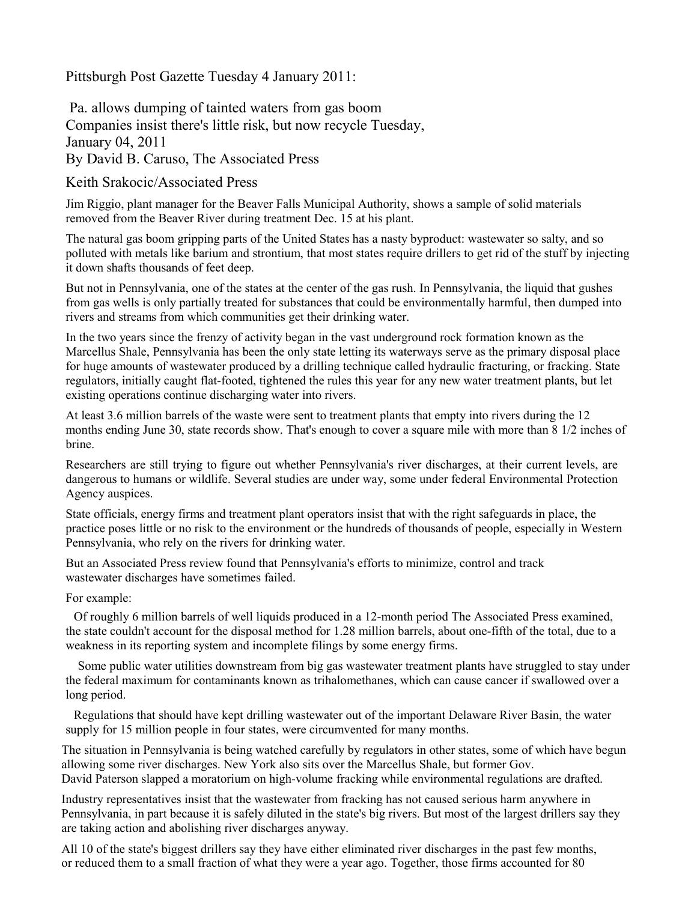Pittsburgh Post Gazette Tuesday 4 January 2011:

 Pa. allows dumping of tainted waters from gas boom Companies insist there's little risk, but now recycle Tuesday, January 04, 2011 By David B. Caruso, The Associated Press

Keith Srakocic/Associated Press

Jim Riggio, plant manager for the Beaver Falls Municipal Authority, shows a sample of solid materials removed from the Beaver River during treatment Dec. 15 at his plant.

The natural gas boom gripping parts of the United States has a nasty byproduct: wastewater so salty, and so polluted with metals like barium and strontium, that most states require drillers to get rid of the stuff by injecting it down shafts thousands of feet deep.

But not in Pennsylvania, one of the states at the center of the gas rush. In Pennsylvania, the liquid that gushes from gas wells is only partially treated for substances that could be environmentally harmful, then dumped into rivers and streams from which communities get their drinking water.

In the two years since the frenzy of activity began in the vast underground rock formation known as the Marcellus Shale, Pennsylvania has been the only state letting its waterways serve as the primary disposal place for huge amounts of wastewater produced by a drilling technique called hydraulic fracturing, or fracking. State regulators, initially caught flat-footed, tightened the rules this year for any new water treatment plants, but let existing operations continue discharging water into rivers.

At least 3.6 million barrels of the waste were sent to treatment plants that empty into rivers during the 12 months ending June 30, state records show. That's enough to cover a square mile with more than 8 1/2 inches of brine.

Researchers are still trying to figure out whether Pennsylvania's river discharges, at their current levels, are dangerous to humans or wildlife. Several studies are under way, some under federal Environmental Protection Agency auspices.

State officials, energy firms and treatment plant operators insist that with the right safeguards in place, the practice poses little or no risk to the environment or the hundreds of thousands of people, especially in Western Pennsylvania, who rely on the rivers for drinking water.

But an Associated Press review found that Pennsylvania's efforts to minimize, control and track wastewater discharges have sometimes failed.

### For example:

Of roughly 6 million barrels of well liquids produced in a 12-month period The Associated Press examined, the state couldn't account for the disposal method for 1.28 million barrels, about one-fifth of the total, due to a weakness in its reporting system and incomplete filings by some energy firms.

Some public water utilities downstream from big gas wastewater treatment plants have struggled to stay under the federal maximum for contaminants known as trihalomethanes, which can cause cancer if swallowed over a long period.

Regulations that should have kept drilling wastewater out of the important Delaware River Basin, the water supply for 15 million people in four states, were circumvented for many months.

The situation in Pennsylvania is being watched carefully by regulators in other states, some of which have begun allowing some river discharges. New York also sits over the Marcellus Shale, but former Gov. David Paterson slapped a moratorium on high-volume fracking while environmental regulations are drafted.

Industry representatives insist that the wastewater from fracking has not caused serious harm anywhere in Pennsylvania, in part because it is safely diluted in the state's big rivers. But most of the largest drillers say they are taking action and abolishing river discharges anyway.

All 10 of the state's biggest drillers say they have either eliminated river discharges in the past few months, or reduced them to a small fraction of what they were a year ago. Together, those firms accounted for 80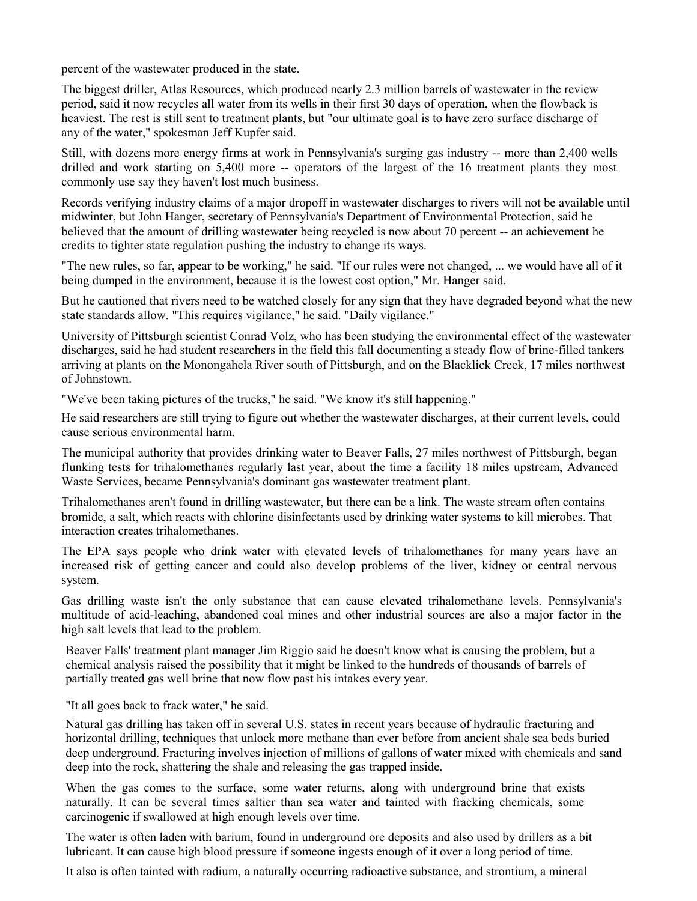percent of the wastewater produced in the state.

The biggest driller, Atlas Resources, which produced nearly 2.3 million barrels of wastewater in the review period, said it now recycles all water from its wells in their first 30 days of operation, when the flowback is heaviest. The rest is still sent to treatment plants, but "our ultimate goal is to have zero surface discharge of any of the water," spokesman Jeff Kupfer said.

Still, with dozens more energy firms at work in Pennsylvania's surging gas industry -- more than 2,400 wells drilled and work starting on 5,400 more -- operators of the largest of the 16 treatment plants they most commonly use say they haven't lost much business.

Records verifying industry claims of a major dropoff in wastewater discharges to rivers will not be available until midwinter, but John Hanger, secretary of Pennsylvania's Department of Environmental Protection, said he believed that the amount of drilling wastewater being recycled is now about 70 percent -- an achievement he credits to tighter state regulation pushing the industry to change its ways.

"The new rules, so far, appear to be working," he said. "If our rules were not changed, ... we would have all of it being dumped in the environment, because it is the lowest cost option," Mr. Hanger said.

But he cautioned that rivers need to be watched closely for any sign that they have degraded beyond what the new state standards allow. "This requires vigilance," he said. "Daily vigilance."

University of Pittsburgh scientist Conrad Volz, who has been studying the environmental effect of the wastewater discharges, said he had student researchers in the field this fall documenting a steady flow of brine-filled tankers arriving at plants on the Monongahela River south of Pittsburgh, and on the Blacklick Creek, 17 miles northwest of Johnstown.

"We've been taking pictures of the trucks," he said. "We know it's still happening."

He said researchers are still trying to figure out whether the wastewater discharges, at their current levels, could cause serious environmental harm.

The municipal authority that provides drinking water to Beaver Falls, 27 miles northwest of Pittsburgh, began flunking tests for trihalomethanes regularly last year, about the time a facility 18 miles upstream, Advanced Waste Services, became Pennsylvania's dominant gas wastewater treatment plant.

Trihalomethanes aren't found in drilling wastewater, but there can be a link. The waste stream often contains bromide, a salt, which reacts with chlorine disinfectants used by drinking water systems to kill microbes. That interaction creates trihalomethanes.

The EPA says people who drink water with elevated levels of trihalomethanes for many years have an increased risk of getting cancer and could also develop problems of the liver, kidney or central nervous system.

Gas drilling waste isn't the only substance that can cause elevated trihalomethane levels. Pennsylvania's multitude of acid-leaching, abandoned coal mines and other industrial sources are also a major factor in the high salt levels that lead to the problem.

Beaver Falls' treatment plant manager Jim Riggio said he doesn't know what is causing the problem, but a chemical analysis raised the possibility that it might be linked to the hundreds of thousands of barrels of partially treated gas well brine that now flow past his intakes every year.

"It all goes back to frack water," he said.

Natural gas drilling has taken off in several U.S. states in recent years because of hydraulic fracturing and horizontal drilling, techniques that unlock more methane than ever before from ancient shale sea beds buried deep underground. Fracturing involves injection of millions of gallons of water mixed with chemicals and sand deep into the rock, shattering the shale and releasing the gas trapped inside.

When the gas comes to the surface, some water returns, along with underground brine that exists naturally. It can be several times saltier than sea water and tainted with fracking chemicals, some carcinogenic if swallowed at high enough levels over time.

The water is often laden with barium, found in underground ore deposits and also used by drillers as a bit lubricant. It can cause high blood pressure if someone ingests enough of it over a long period of time.

It also is often tainted with radium, a naturally occurring radioactive substance, and strontium, a mineral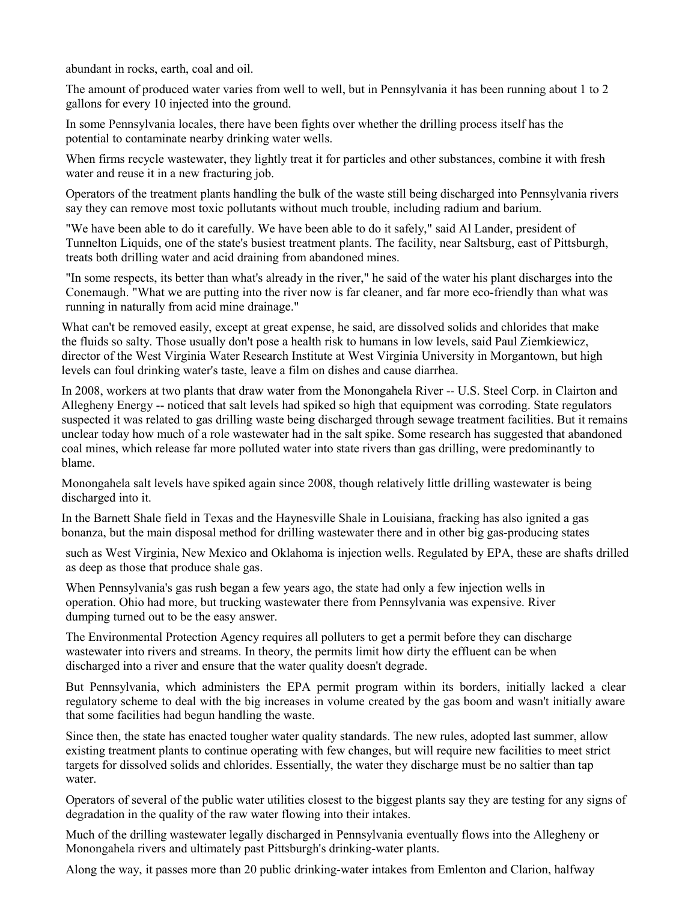abundant in rocks, earth, coal and oil.

The amount of produced water varies from well to well, but in Pennsylvania it has been running about 1 to 2 gallons for every 10 injected into the ground.

In some Pennsylvania locales, there have been fights over whether the drilling process itself has the potential to contaminate nearby drinking water wells.

When firms recycle wastewater, they lightly treat it for particles and other substances, combine it with fresh water and reuse it in a new fracturing job.

Operators of the treatment plants handling the bulk of the waste still being discharged into Pennsylvania rivers say they can remove most toxic pollutants without much trouble, including radium and barium.

"We have been able to do it carefully. We have been able to do it safely," said Al Lander, president of Tunnelton Liquids, one of the state's busiest treatment plants. The facility, near Saltsburg, east of Pittsburgh, treats both drilling water and acid draining from abandoned mines.

"In some respects, its better than what's already in the river," he said of the water his plant discharges into the Conemaugh. "What we are putting into the river now is far cleaner, and far more eco-friendly than what was running in naturally from acid mine drainage."

What can't be removed easily, except at great expense, he said, are dissolved solids and chlorides that make the fluids so salty. Those usually don't pose a health risk to humans in low levels, said Paul Ziemkiewicz, director of the West Virginia Water Research Institute at West Virginia University in Morgantown, but high levels can foul drinking water's taste, leave a film on dishes and cause diarrhea.

In 2008, workers at two plants that draw water from the Monongahela River -- U.S. Steel Corp. in Clairton and Allegheny Energy -- noticed that salt levels had spiked so high that equipment was corroding. State regulators suspected it was related to gas drilling waste being discharged through sewage treatment facilities. But it remains unclear today how much of a role wastewater had in the salt spike. Some research has suggested that abandoned coal mines, which release far more polluted water into state rivers than gas drilling, were predominantly to blame.

Monongahela salt levels have spiked again since 2008, though relatively little drilling wastewater is being discharged into it.

In the Barnett Shale field in Texas and the Haynesville Shale in Louisiana, fracking has also ignited a gas bonanza, but the main disposal method for drilling wastewater there and in other big gas-producing states

such as West Virginia, New Mexico and Oklahoma is injection wells. Regulated by EPA, these are shafts drilled as deep as those that produce shale gas.

When Pennsylvania's gas rush began a few years ago, the state had only a few injection wells in operation. Ohio had more, but trucking wastewater there from Pennsylvania was expensive. River dumping turned out to be the easy answer.

The Environmental Protection Agency requires all polluters to get a permit before they can discharge wastewater into rivers and streams. In theory, the permits limit how dirty the effluent can be when discharged into a river and ensure that the water quality doesn't degrade.

But Pennsylvania, which administers the EPA permit program within its borders, initially lacked a clear regulatory scheme to deal with the big increases in volume created by the gas boom and wasn't initially aware that some facilities had begun handling the waste.

Since then, the state has enacted tougher water quality standards. The new rules, adopted last summer, allow existing treatment plants to continue operating with few changes, but will require new facilities to meet strict targets for dissolved solids and chlorides. Essentially, the water they discharge must be no saltier than tap water.

Operators of several of the public water utilities closest to the biggest plants say they are testing for any signs of degradation in the quality of the raw water flowing into their intakes.

Much of the drilling wastewater legally discharged in Pennsylvania eventually flows into the Allegheny or Monongahela rivers and ultimately past Pittsburgh's drinking-water plants.

Along the way, it passes more than 20 public drinking-water intakes from Emlenton and Clarion, halfway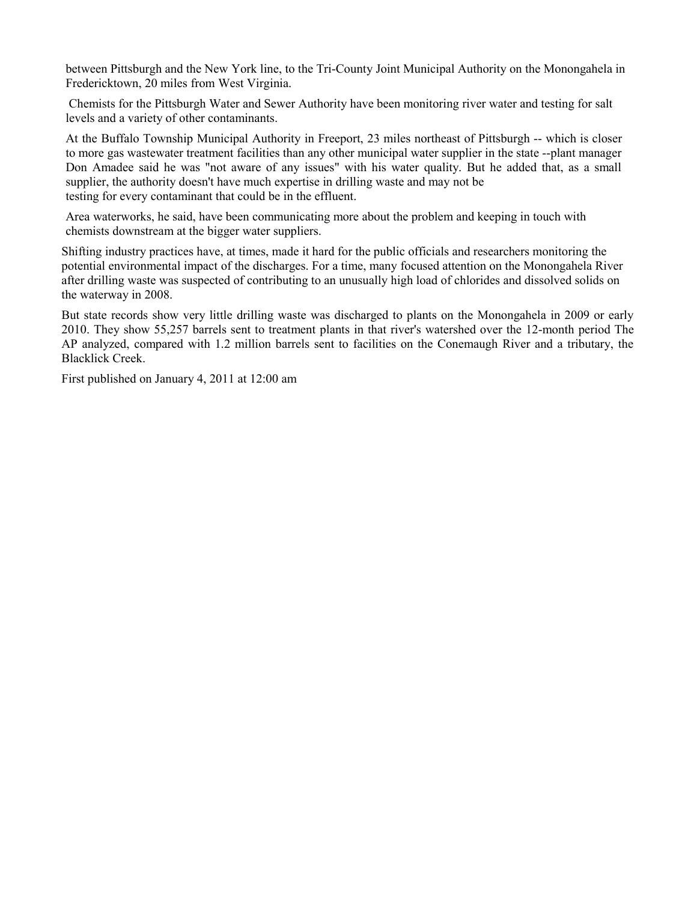between Pittsburgh and the New York line, to the Tri-County Joint Municipal Authority on the Monongahela in Fredericktown, 20 miles from West Virginia.

 Chemists for the Pittsburgh Water and Sewer Authority have been monitoring river water and testing for salt levels and a variety of other contaminants.

At the Buffalo Township Municipal Authority in Freeport, 23 miles northeast of Pittsburgh -- which is closer to more gas wastewater treatment facilities than any other municipal water supplier in the state --plant manager Don Amadee said he was "not aware of any issues" with his water quality. But he added that, as a small supplier, the authority doesn't have much expertise in drilling waste and may not be testing for every contaminant that could be in the effluent.

Area waterworks, he said, have been communicating more about the problem and keeping in touch with chemists downstream at the bigger water suppliers.

Shifting industry practices have, at times, made it hard for the public officials and researchers monitoring the potential environmental impact of the discharges. For a time, many focused attention on the Monongahela River after drilling waste was suspected of contributing to an unusually high load of chlorides and dissolved solids on the waterway in 2008.

But state records show very little drilling waste was discharged to plants on the Monongahela in 2009 or early 2010. They show 55,257 barrels sent to treatment plants in that river's watershed over the 12-month period The AP analyzed, compared with 1.2 million barrels sent to facilities on the Conemaugh River and a tributary, the Blacklick Creek.

First published on January 4, 2011 at 12:00 am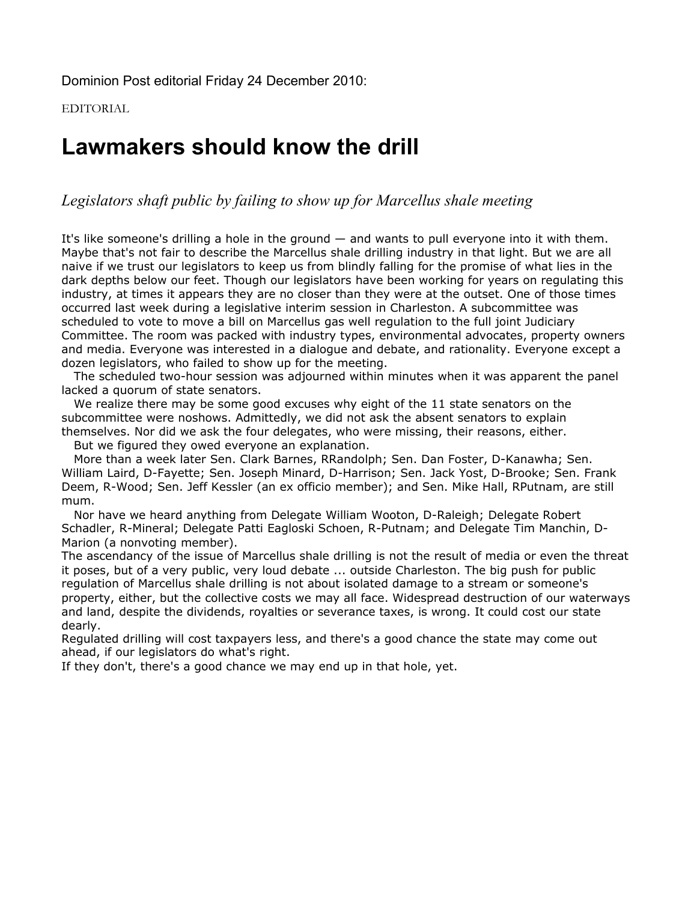Dominion Post editorial Friday 24 December 2010:

EDITORIAL

# **Lawmakers should know the drill**

*Legislators shaft public by failing to show up for Marcellus shale meeting*

It's like someone's drilling a hole in the ground — and wants to pull everyone into it with them. Maybe that's not fair to describe the Marcellus shale drilling industry in that light. But we are all naive if we trust our legislators to keep us from blindly falling for the promise of what lies in the dark depths below our feet. Though our legislators have been working for years on regulating this industry, at times it appears they are no closer than they were at the outset. One of those times occurred last week during a legislative interim session in Charleston. A subcommittee was scheduled to vote to move a bill on Marcellus gas well regulation to the full joint Judiciary Committee. The room was packed with industry types, environmental advocates, property owners and media. Everyone was interested in a dialogue and debate, and rationality. Everyone except a dozen legislators, who failed to show up for the meeting.

The scheduled two-hour session was adjourned within minutes when it was apparent the panel lacked a quorum of state senators.

We realize there may be some good excuses why eight of the 11 state senators on the subcommittee were noshows. Admittedly, we did not ask the absent senators to explain themselves. Nor did we ask the four delegates, who were missing, their reasons, either. But we figured they owed everyone an explanation.

More than a week later Sen. Clark Barnes, RRandolph; Sen. Dan Foster, D-Kanawha; Sen. William Laird, D-Fayette; Sen. Joseph Minard, D-Harrison; Sen. Jack Yost, D-Brooke; Sen. Frank Deem, R-Wood; Sen. Jeff Kessler (an ex officio member); and Sen. Mike Hall, RPutnam, are still mum.

Nor have we heard anything from Delegate William Wooton, D-Raleigh; Delegate Robert Schadler, R-Mineral; Delegate Patti Eagloski Schoen, R-Putnam; and Delegate Tim Manchin, D-Marion (a nonvoting member).

The ascendancy of the issue of Marcellus shale drilling is not the result of media or even the threat it poses, but of a very public, very loud debate ... outside Charleston. The big push for public regulation of Marcellus shale drilling is not about isolated damage to a stream or someone's property, either, but the collective costs we may all face. Widespread destruction of our waterways and land, despite the dividends, royalties or severance taxes, is wrong. It could cost our state dearly.

Regulated drilling will cost taxpayers less, and there's a good chance the state may come out ahead, if our legislators do what's right.

If they don't, there's a good chance we may end up in that hole, yet.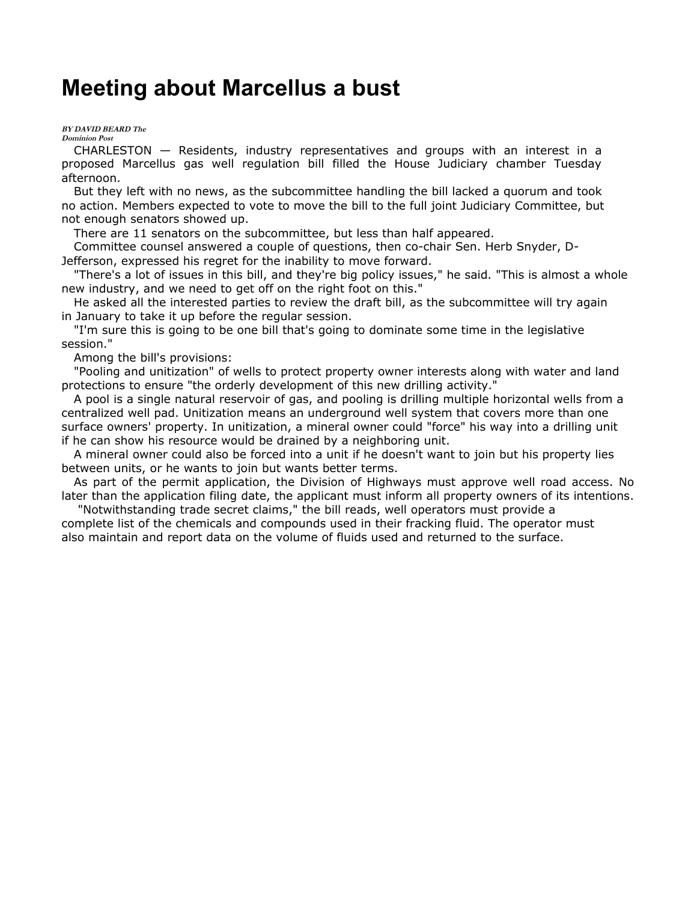## **Meeting about Marcellus a bust**

#### **BY DAVID BEARD The Dominion Post**

CHARLESTON — Residents, industry representatives and groups with an interest in a proposed Marcellus gas well regulation bill filled the House Judiciary chamber Tuesday afternoon.

But they left with no news, as the subcommittee handling the bill lacked a quorum and took no action. Members expected to vote to move the bill to the full joint Judiciary Committee, but not enough senators showed up.

There are 11 senators on the subcommittee, but less than half appeared.

Committee counsel answered a couple of questions, then co-chair Sen. Herb Snyder, D-Jefferson, expressed his regret for the inability to move forward.

"There's a lot of issues in this bill, and they're big policy issues," he said. "This is almost a whole new industry, and we need to get off on the right foot on this."

He asked all the interested parties to review the draft bill, as the subcommittee will try again in January to take it up before the regular session.

"I'm sure this is going to be one bill that's going to dominate some time in the legislative session."

Among the bill's provisions:

"Pooling and unitization" of wells to protect property owner interests along with water and land protections to ensure "the orderly development of this new drilling activity."

A pool is a single natural reservoir of gas, and pooling is drilling multiple horizontal wells from a centralized well pad. Unitization means an underground well system that covers more than one surface owners' property. In unitization, a mineral owner could "force" his way into a drilling unit if he can show his resource would be drained by a neighboring unit.

A mineral owner could also be forced into a unit if he doesn't want to join but his property lies between units, or he wants to join but wants better terms.

As part of the permit application, the Division of Highways must approve well road access. No later than the application filing date, the applicant must inform all property owners of its intentions.

 "Notwithstanding trade secret claims," the bill reads, well operators must provide a complete list of the chemicals and compounds used in their fracking fluid. The operator must also maintain and report data on the volume of fluids used and returned to the surface.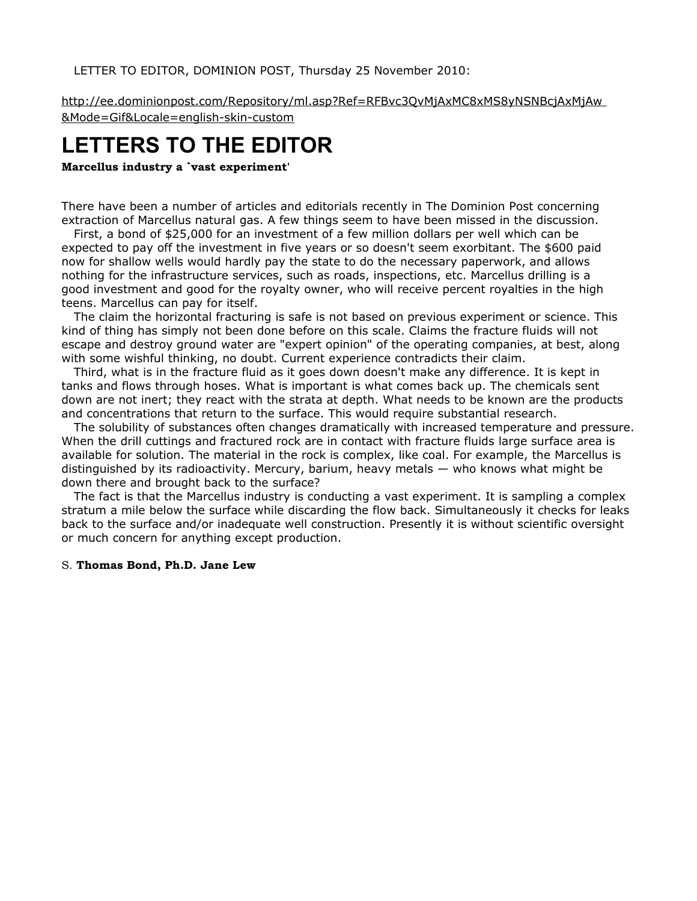LETTER TO EDITOR, DOMINION POST, Thursday 25 November 2010:

http://ee.dominionpost.com/Repository/ml.asp?Ref=RFBvc3QvMjAxMC8xMS8yNSNBcjAxMjAw &Mode=Gif&Locale=english-skin-custom

# **LETTERS TO THE EDITOR**

**Marcellus industry a `vast experiment'**

There have been a number of articles and editorials recently in The Dominion Post concerning extraction of Marcellus natural gas. A few things seem to have been missed in the discussion.

First, a bond of \$25,000 for an investment of a few million dollars per well which can be expected to pay off the investment in five years or so doesn't seem exorbitant. The \$600 paid now for shallow wells would hardly pay the state to do the necessary paperwork, and allows nothing for the infrastructure services, such as roads, inspections, etc. Marcellus drilling is a good investment and good for the royalty owner, who will receive percent royalties in the high teens. Marcellus can pay for itself.

The claim the horizontal fracturing is safe is not based on previous experiment or science. This kind of thing has simply not been done before on this scale. Claims the fracture fluids will not escape and destroy ground water are "expert opinion" of the operating companies, at best, along with some wishful thinking, no doubt. Current experience contradicts their claim.

Third, what is in the fracture fluid as it goes down doesn't make any difference. It is kept in tanks and flows through hoses. What is important is what comes back up. The chemicals sent down are not inert; they react with the strata at depth. What needs to be known are the products and concentrations that return to the surface. This would require substantial research.

The solubility of substances often changes dramatically with increased temperature and pressure. When the drill cuttings and fractured rock are in contact with fracture fluids large surface area is available for solution. The material in the rock is complex, like coal. For example, the Marcellus is distinguished by its radioactivity. Mercury, barium, heavy metals — who knows what might be down there and brought back to the surface?

The fact is that the Marcellus industry is conducting a vast experiment. It is sampling a complex stratum a mile below the surface while discarding the flow back. Simultaneously it checks for leaks back to the surface and/or inadequate well construction. Presently it is without scientific oversight or much concern for anything except production.

### S. **Thomas Bond, Ph.D. Jane Lew**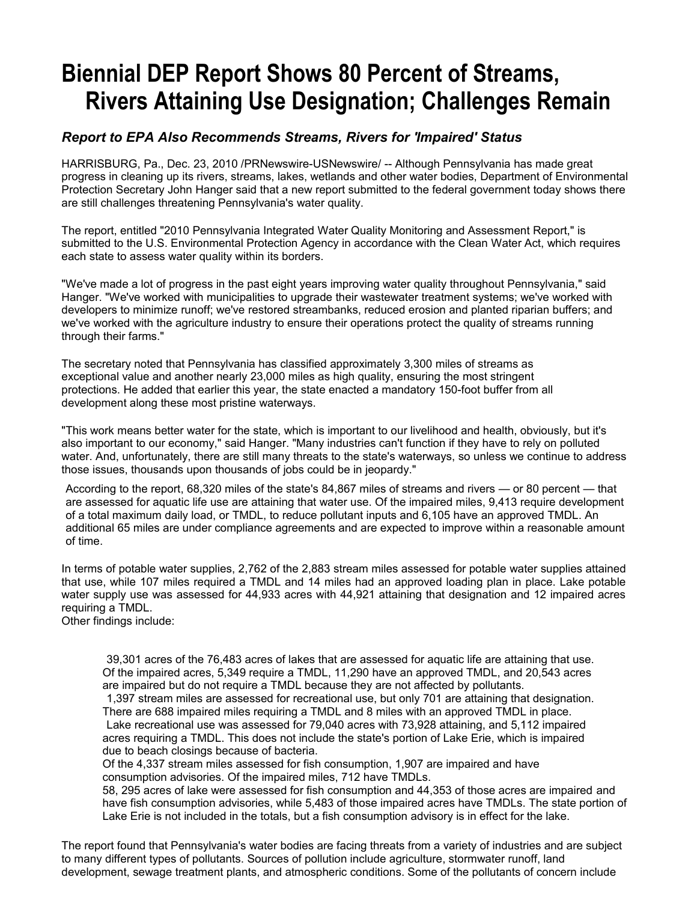# **Biennial DEP Report Shows 80 Percent of Streams, Rivers Attaining Use Designation; Challenges Remain**

### *Report to EPA Also Recommends Streams, Rivers for 'Impaired' Status*

HARRISBURG, Pa., Dec. 23, 2010 /PRNewswire-USNewswire/ -- Although Pennsylvania has made great progress in cleaning up its rivers, streams, lakes, wetlands and other water bodies, Department of Environmental Protection Secretary John Hanger said that a new report submitted to the federal government today shows there are still challenges threatening Pennsylvania's water quality.

The report, entitled "2010 Pennsylvania Integrated Water Quality Monitoring and Assessment Report," is submitted to the U.S. Environmental Protection Agency in accordance with the Clean Water Act, which requires each state to assess water quality within its borders.

"We've made a lot of progress in the past eight years improving water quality throughout Pennsylvania," said Hanger. "We've worked with municipalities to upgrade their wastewater treatment systems; we've worked with developers to minimize runoff; we've restored streambanks, reduced erosion and planted riparian buffers; and we've worked with the agriculture industry to ensure their operations protect the quality of streams running through their farms."

The secretary noted that Pennsylvania has classified approximately 3,300 miles of streams as exceptional value and another nearly 23,000 miles as high quality, ensuring the most stringent protections. He added that earlier this year, the state enacted a mandatory 150-foot buffer from all development along these most pristine waterways.

"This work means better water for the state, which is important to our livelihood and health, obviously, but it's also important to our economy," said Hanger. "Many industries can't function if they have to rely on polluted water. And, unfortunately, there are still many threats to the state's waterways, so unless we continue to address those issues, thousands upon thousands of jobs could be in jeopardy."

According to the report, 68,320 miles of the state's 84,867 miles of streams and rivers — or 80 percent — that are assessed for aquatic life use are attaining that water use. Of the impaired miles, 9,413 require development of a total maximum daily load, or TMDL, to reduce pollutant inputs and 6,105 have an approved TMDL. An additional 65 miles are under compliance agreements and are expected to improve within a reasonable amount of time.

In terms of potable water supplies, 2,762 of the 2,883 stream miles assessed for potable water supplies attained that use, while 107 miles required a TMDL and 14 miles had an approved loading plan in place. Lake potable water supply use was assessed for 44,933 acres with 44,921 attaining that designation and 12 impaired acres requiring a TMDL.

Other findings include:

39,301 acres of the 76,483 acres of lakes that are assessed for aquatic life are attaining that use. Of the impaired acres, 5,349 require a TMDL, 11,290 have an approved TMDL, and 20,543 acres are impaired but do not require a TMDL because they are not affected by pollutants.

1,397 stream miles are assessed for recreational use, but only 701 are attaining that designation. There are 688 impaired miles requiring a TMDL and 8 miles with an approved TMDL in place. Lake recreational use was assessed for 79,040 acres with 73,928 attaining, and 5,112 impaired acres requiring a TMDL. This does not include the state's portion of Lake Erie, which is impaired due to beach closings because of bacteria.

Of the 4,337 stream miles assessed for fish consumption, 1,907 are impaired and have consumption advisories. Of the impaired miles, 712 have TMDLs.

58, 295 acres of lake were assessed for fish consumption and 44,353 of those acres are impaired and have fish consumption advisories, while 5,483 of those impaired acres have TMDLs. The state portion of Lake Erie is not included in the totals, but a fish consumption advisory is in effect for the lake.

The report found that Pennsylvania's water bodies are facing threats from a variety of industries and are subject to many different types of pollutants. Sources of pollution include agriculture, stormwater runoff, land development, sewage treatment plants, and atmospheric conditions. Some of the pollutants of concern include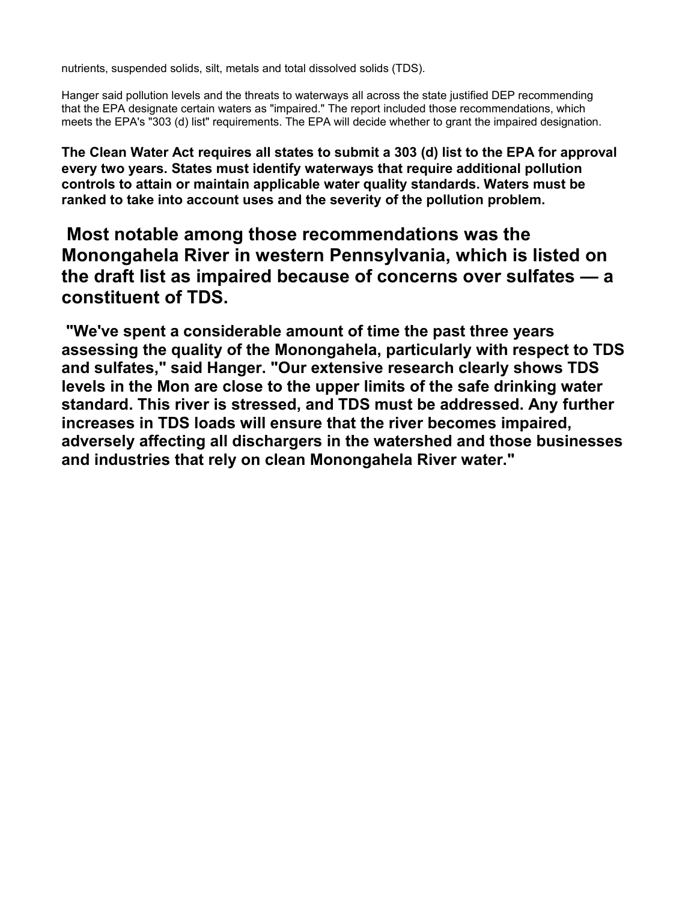nutrients, suspended solids, silt, metals and total dissolved solids (TDS).

Hanger said pollution levels and the threats to waterways all across the state justified DEP recommending that the EPA designate certain waters as "impaired." The report included those recommendations, which meets the EPA's "303 (d) list" requirements. The EPA will decide whether to grant the impaired designation.

**The Clean Water Act requires all states to submit a 303 (d) list to the EPA for approval every two years. States must identify waterways that require additional pollution controls to attain or maintain applicable water quality standards. Waters must be ranked to take into account uses and the severity of the pollution problem.**

## **Most notable among those recommendations was the Monongahela River in western Pennsylvania, which is listed on the draft list as impaired because of concerns over sulfates — a constituent of TDS.**

 **"We've spent a considerable amount of time the past three years assessing the quality of the Monongahela, particularly with respect to TDS and sulfates," said Hanger. "Our extensive research clearly shows TDS levels in the Mon are close to the upper limits of the safe drinking water standard. This river is stressed, and TDS must be addressed. Any further increases in TDS loads will ensure that the river becomes impaired, adversely affecting all dischargers in the watershed and those businesses and industries that rely on clean Monongahela River water."**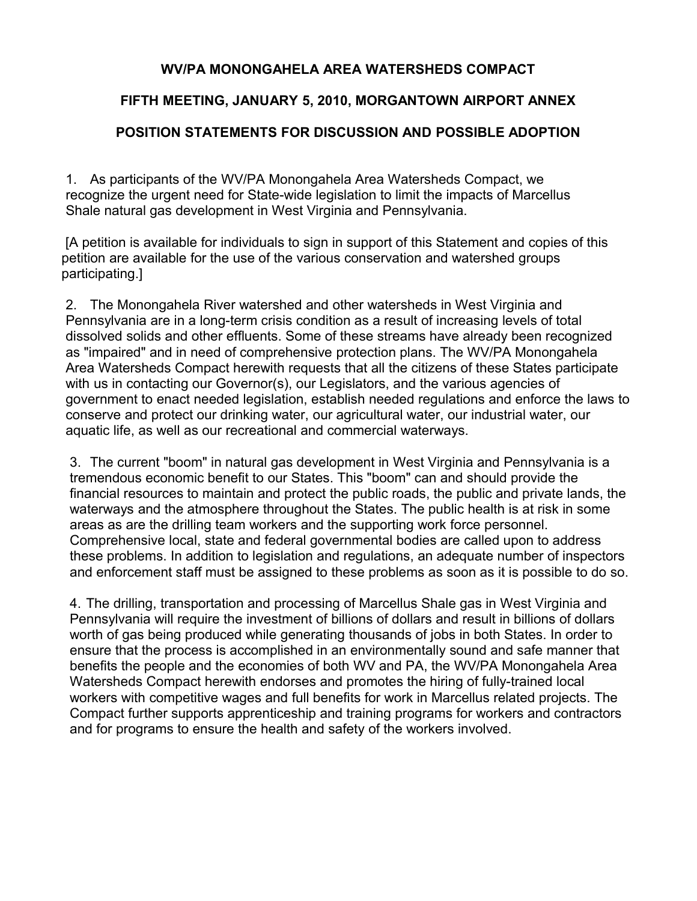### **WV/PA MONONGAHELA AREA WATERSHEDS COMPACT**

### **FIFTH MEETING, JANUARY 5, 2010, MORGANTOWN AIRPORT ANNEX**

### **POSITION STATEMENTS FOR DISCUSSION AND POSSIBLE ADOPTION**

1. As participants of the WV/PA Monongahela Area Watersheds Compact, we recognize the urgent need for State-wide legislation to limit the impacts of Marcellus Shale natural gas development in West Virginia and Pennsylvania.

 [A petition is available for individuals to sign in support of this Statement and copies of this petition are available for the use of the various conservation and watershed groups participating.]

2. The Monongahela River watershed and other watersheds in West Virginia and Pennsylvania are in a long-term crisis condition as a result of increasing levels of total dissolved solids and other effluents. Some of these streams have already been recognized as "impaired" and in need of comprehensive protection plans. The WV/PA Monongahela Area Watersheds Compact herewith requests that all the citizens of these States participate with us in contacting our Governor(s), our Legislators, and the various agencies of government to enact needed legislation, establish needed regulations and enforce the laws to conserve and protect our drinking water, our agricultural water, our industrial water, our aquatic life, as well as our recreational and commercial waterways.

3. The current "boom" in natural gas development in West Virginia and Pennsylvania is a tremendous economic benefit to our States. This "boom" can and should provide the financial resources to maintain and protect the public roads, the public and private lands, the waterways and the atmosphere throughout the States. The public health is at risk in some areas as are the drilling team workers and the supporting work force personnel. Comprehensive local, state and federal governmental bodies are called upon to address these problems. In addition to legislation and regulations, an adequate number of inspectors and enforcement staff must be assigned to these problems as soon as it is possible to do so.

4. The drilling, transportation and processing of Marcellus Shale gas in West Virginia and Pennsylvania will require the investment of billions of dollars and result in billions of dollars worth of gas being produced while generating thousands of jobs in both States. In order to ensure that the process is accomplished in an environmentally sound and safe manner that benefits the people and the economies of both WV and PA, the WV/PA Monongahela Area Watersheds Compact herewith endorses and promotes the hiring of fully-trained local workers with competitive wages and full benefits for work in Marcellus related projects. The Compact further supports apprenticeship and training programs for workers and contractors and for programs to ensure the health and safety of the workers involved.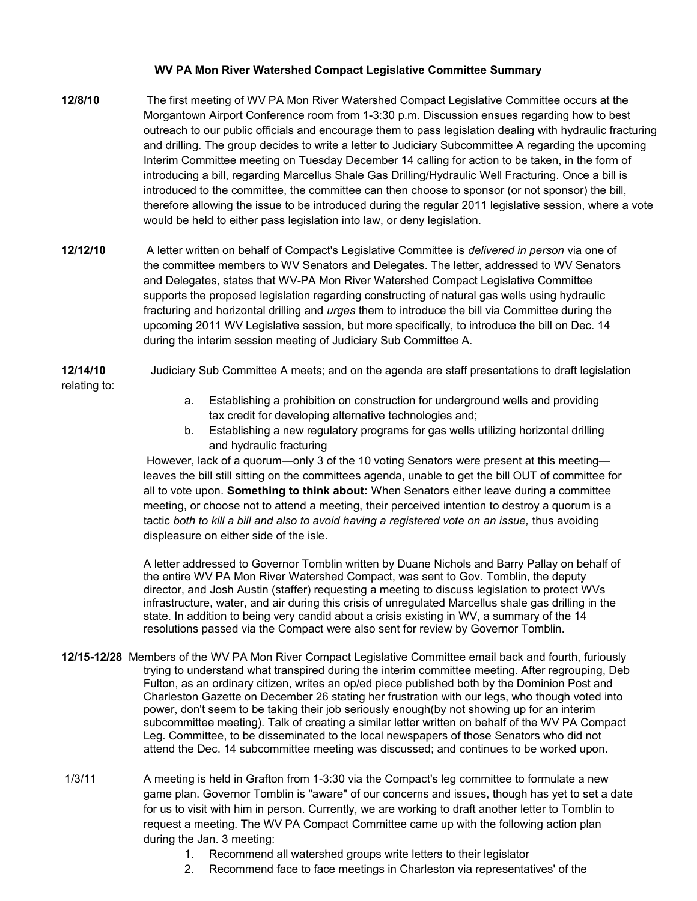### **WV PA Mon River Watershed Compact Legislative Committee Summary**

- **12/8/10** The first meeting of WV PA Mon River Watershed Compact Legislative Committee occurs at the Morgantown Airport Conference room from 1-3:30 p.m. Discussion ensues regarding how to best outreach to our public officials and encourage them to pass legislation dealing with hydraulic fracturing and drilling. The group decides to write a letter to Judiciary Subcommittee A regarding the upcoming Interim Committee meeting on Tuesday December 14 calling for action to be taken, in the form of introducing a bill, regarding Marcellus Shale Gas Drilling/Hydraulic Well Fracturing. Once a bill is introduced to the committee, the committee can then choose to sponsor (or not sponsor) the bill, therefore allowing the issue to be introduced during the regular 2011 legislative session, where a vote would be held to either pass legislation into law, or deny legislation.
- **12/12/10** A letter written on behalf of Compact's Legislative Committee is *delivered in person* via one of the committee members to WV Senators and Delegates. The letter, addressed to WV Senators and Delegates, states that WV-PA Mon River Watershed Compact Legislative Committee supports the proposed legislation regarding constructing of natural gas wells using hydraulic fracturing and horizontal drilling and *urges* them to introduce the bill via Committee during the upcoming 2011 WV Legislative session, but more specifically, to introduce the bill on Dec. 14 during the interim session meeting of Judiciary Sub Committee A.
- **12/14/10** Judiciary Sub Committee A meets; and on the agenda are staff presentations to draft legislation relating to:
	- a. Establishing a prohibition on construction for underground wells and providing tax credit for developing alternative technologies and;
	- b. Establishing a new regulatory programs for gas wells utilizing horizontal drilling and hydraulic fracturing

 However, lack of a quorum—only 3 of the 10 voting Senators were present at this meeting leaves the bill still sitting on the committees agenda, unable to get the bill OUT of committee for all to vote upon. **Something to think about:** When Senators either leave during a committee meeting, or choose not to attend a meeting, their perceived intention to destroy a quorum is a tactic *both to kill a bill and also to avoid having a registered vote on an issue, thus avoiding* displeasure on either side of the isle.

A letter addressed to Governor Tomblin written by Duane Nichols and Barry Pallay on behalf of the entire WV PA Mon River Watershed Compact, was sent to Gov. Tomblin, the deputy director, and Josh Austin (staffer) requesting a meeting to discuss legislation to protect WVs infrastructure, water, and air during this crisis of unregulated Marcellus shale gas drilling in the state. In addition to being very candid about a crisis existing in WV, a summary of the 14 resolutions passed via the Compact were also sent for review by Governor Tomblin.

- **12/15-12/28** Members of the WV PA Mon River Compact Legislative Committee email back and fourth, furiously trying to understand what transpired during the interim committee meeting. After regrouping, Deb Fulton, as an ordinary citizen, writes an op/ed piece published both by the Dominion Post and Charleston Gazette on December 26 stating her frustration with our legs, who though voted into power, don't seem to be taking their job seriously enough(by not showing up for an interim subcommittee meeting). Talk of creating a similar letter written on behalf of the WV PA Compact Leg. Committee, to be disseminated to the local newspapers of those Senators who did not attend the Dec. 14 subcommittee meeting was discussed; and continues to be worked upon.
- 1/3/11 A meeting is held in Grafton from 1-3:30 via the Compact's leg committee to formulate a new game plan. Governor Tomblin is "aware" of our concerns and issues, though has yet to set a date for us to visit with him in person. Currently, we are working to draft another letter to Tomblin to request a meeting. The WV PA Compact Committee came up with the following action plan during the Jan. 3 meeting:
	- 1. Recommend all watershed groups write letters to their legislator
	- 2. Recommend face to face meetings in Charleston via representatives' of the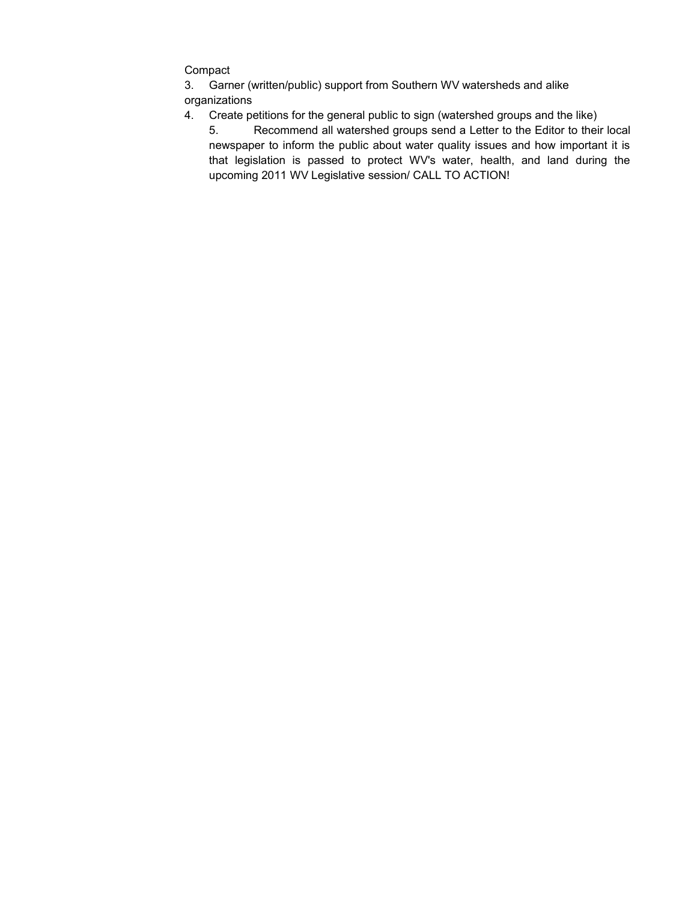Compact

3. Garner (written/public) support from Southern WV watersheds and alike organizations

- 4. Create petitions for the general public to sign (watershed groups and the like)
	- 5. Recommend all watershed groups send a Letter to the Editor to their local newspaper to inform the public about water quality issues and how important it is that legislation is passed to protect WV's water, health, and land during the upcoming 2011 WV Legislative session/ CALL TO ACTION!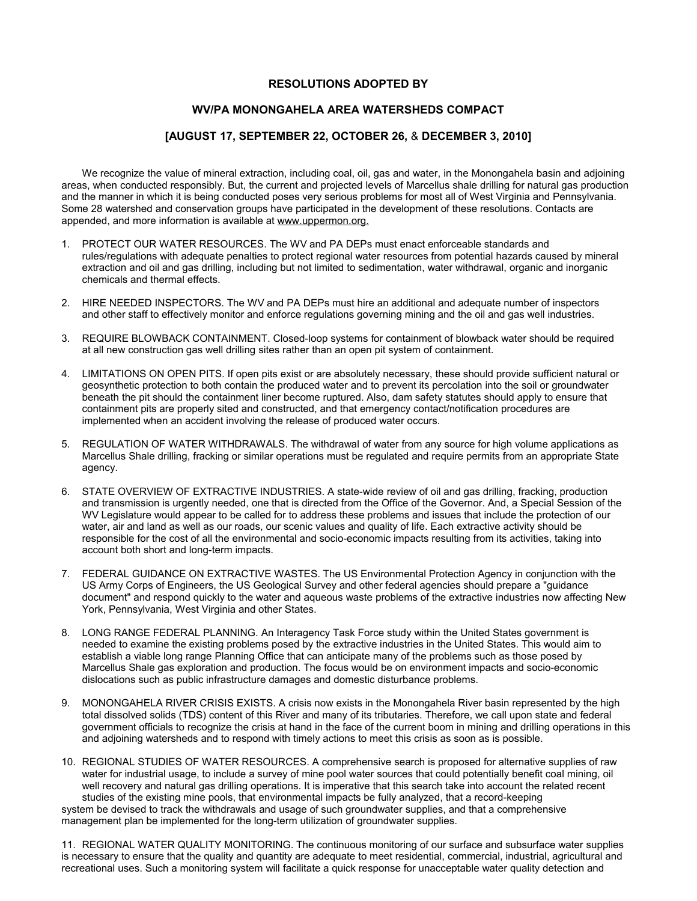#### **RESOLUTIONS ADOPTED BY**

### **WV/PA MONONGAHELA AREA WATERSHEDS COMPACT**

### **[AUGUST 17, SEPTEMBER 22, OCTOBER 26,** & **DECEMBER 3, 2010]**

We recognize the value of mineral extraction, including coal, oil, gas and water, in the Monongahela basin and adjoining areas, when conducted responsibly. But, the current and projected levels of Marcellus shale drilling for natural gas production and the manner in which it is being conducted poses very serious problems for most all of West Virginia and Pennsylvania. Some 28 watershed and conservation groups have participated in the development of these resolutions. Contacts are appended, and more information is available at www.uppermon.org.

- 1. PROTECT OUR WATER RESOURCES. The WV and PA DEPs must enact enforceable standards and rules/regulations with adequate penalties to protect regional water resources from potential hazards caused by mineral extraction and oil and gas drilling, including but not limited to sedimentation, water withdrawal, organic and inorganic chemicals and thermal effects.
- 2. HIRE NEEDED INSPECTORS. The WV and PA DEPs must hire an additional and adequate number of inspectors and other staff to effectively monitor and enforce regulations governing mining and the oil and gas well industries.
- 3. REQUIRE BLOWBACK CONTAINMENT. Closed-loop systems for containment of blowback water should be required at all new construction gas well drilling sites rather than an open pit system of containment.
- 4. LIMITATIONS ON OPEN PITS. If open pits exist or are absolutely necessary, these should provide sufficient natural or geosynthetic protection to both contain the produced water and to prevent its percolation into the soil or groundwater beneath the pit should the containment liner become ruptured. Also, dam safety statutes should apply to ensure that containment pits are properly sited and constructed, and that emergency contact/notification procedures are implemented when an accident involving the release of produced water occurs.
- 5. REGULATION OF WATER WITHDRAWALS. The withdrawal of water from any source for high volume applications as Marcellus Shale drilling, fracking or similar operations must be regulated and require permits from an appropriate State agency.
- 6. STATE OVERVIEW OF EXTRACTIVE INDUSTRIES. A state-wide review of oil and gas drilling, fracking, production and transmission is urgently needed, one that is directed from the Office of the Governor. And, a Special Session of the WV Legislature would appear to be called for to address these problems and issues that include the protection of our water, air and land as well as our roads, our scenic values and quality of life. Each extractive activity should be responsible for the cost of all the environmental and socio-economic impacts resulting from its activities, taking into account both short and long-term impacts.
- 7. FEDERAL GUIDANCE ON EXTRACTIVE WASTES. The US Environmental Protection Agency in conjunction with the US Army Corps of Engineers, the US Geological Survey and other federal agencies should prepare a "guidance document" and respond quickly to the water and aqueous waste problems of the extractive industries now affecting New York, Pennsylvania, West Virginia and other States.
- 8. LONG RANGE FEDERAL PLANNING. An Interagency Task Force study within the United States government is needed to examine the existing problems posed by the extractive industries in the United States. This would aim to establish a viable long range Planning Office that can anticipate many of the problems such as those posed by Marcellus Shale gas exploration and production. The focus would be on environment impacts and socio-economic dislocations such as public infrastructure damages and domestic disturbance problems.
- 9. MONONGAHELA RIVER CRISIS EXISTS. A crisis now exists in the Monongahela River basin represented by the high total dissolved solids (TDS) content of this River and many of its tributaries. Therefore, we call upon state and federal government officials to recognize the crisis at hand in the face of the current boom in mining and drilling operations in this and adjoining watersheds and to respond with timely actions to meet this crisis as soon as is possible.
- 10. REGIONAL STUDIES OF WATER RESOURCES. A comprehensive search is proposed for alternative supplies of raw water for industrial usage, to include a survey of mine pool water sources that could potentially benefit coal mining, oil well recovery and natural gas drilling operations. It is imperative that this search take into account the related recent studies of the existing mine pools, that environmental impacts be fully analyzed, that a record-keeping system be devised to track the withdrawals and usage of such groundwater supplies, and that a comprehensive management plan be implemented for the long-term utilization of groundwater supplies.

11. REGIONAL WATER QUALITY MONITORING. The continuous monitoring of our surface and subsurface water supplies is necessary to ensure that the quality and quantity are adequate to meet residential, commercial, industrial, agricultural and recreational uses. Such a monitoring system will facilitate a quick response for unacceptable water quality detection and